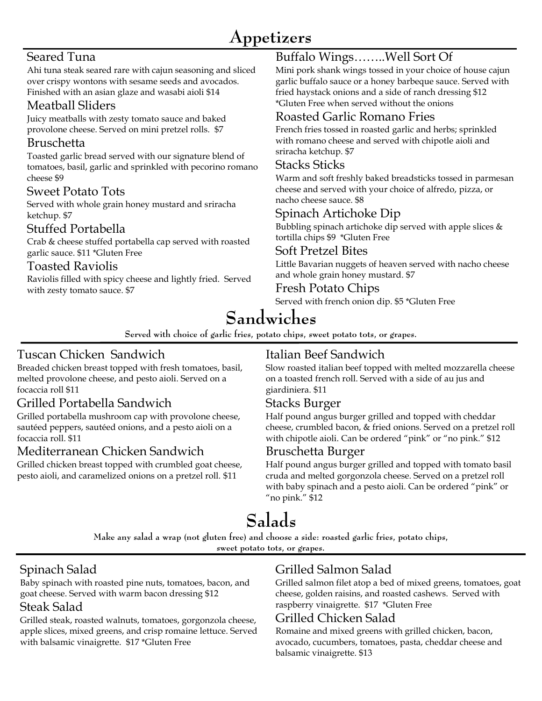## **Appetizers**

## Seared Tuna

Ahi tuna steak seared rare with cajun seasoning and sliced over crispy wontons with sesame seeds and avocados. Finished with an asian glaze and wasabi aioli \$14

#### Meatball Sliders

Juicy meatballs with zesty tomato sauce and baked provolone cheese. Served on mini pretzel rolls. \$7

#### Bruschetta

Toasted garlic bread served with our signature blend of tomatoes, basil, garlic and sprinkled with pecorino romano cheese \$9

#### Sweet Potato Tots

Served with whole grain honey mustard and sriracha ketchup. \$7

### Stuffed Portabella

Crab & cheese stuffed portabella cap served with roasted garlic sauce. \$11 \*Gluten Free

#### Toasted Raviolis

Raviolis filled with spicy cheese and lightly fried. Served with zesty tomato sauce. \$7

## Buffalo Wings……..Well Sort Of

Mini pork shank wings tossed in your choice of house cajun garlic buffalo sauce or a honey barbeque sauce. Served with fried haystack onions and a side of ranch dressing \$12 \*Gluten Free when served without the onions

## Roasted Garlic Romano Fries

French fries tossed in roasted garlic and herbs; sprinkled with romano cheese and served with chipotle aioli and sriracha ketchup. \$7

#### Stacks Sticks

Warm and soft freshly baked breadsticks tossed in parmesan cheese and served with your choice of alfredo, pizza, or nacho cheese sauce. \$8

## Spinach Artichoke Dip

Bubbling spinach artichoke dip served with apple slices  $\&$ tortilla chips \$9 \*Gluten Free

#### Soft Pretzel Bites

Little Bavarian nuggets of heaven served with nacho cheese and whole grain honey mustard. \$7

#### Fresh Potato Chips

Served with french onion dip. \$5 \*Gluten Free

# **Sandwiches**

**Served with choice of garlic fries, potato chips, sweet potato tots, or grapes.**

## Tuscan Chicken Sandwich

Breaded chicken breast topped with fresh tomatoes, basil, melted provolone cheese, and pesto aioli. Served on a focaccia roll \$11

## Grilled Portabella Sandwich

Grilled portabella mushroom cap with provolone cheese, sautéed peppers, sautéed onions, and a pesto aioli on a focaccia roll. \$11

### Mediterranean Chicken Sandwich

Grilled chicken breast topped with crumbled goat cheese, pesto aioli, and caramelized onions on a pretzel roll. \$11

## Italian Beef Sandwich

Slow roasted italian beef topped with melted mozzarella cheese on a toasted french roll. Served with a side of au jus and giardiniera. \$11

### Stacks Burger

Half pound angus burger grilled and topped with cheddar cheese, crumbled bacon, & fried onions. Served on a pretzel roll with chipotle aioli. Can be ordered "pink" or "no pink." \$12

#### Bruschetta Burger

Half pound angus burger grilled and topped with tomato basil cruda and melted gorgonzola cheese. Served on a pretzel roll with baby spinach and a pesto aioli. Can be ordered "pink" or "no pink." \$12

# **Salads**

**Make any salad a wrap (not gluten free) and choose a side: roasted garlic fries, potato chips,** 

**sweet potato tots, or grapes.**

## Spinach Salad

Baby spinach with roasted pine nuts, tomatoes, bacon, and goat cheese. Served with warm bacon dressing \$12 Steak Salad

Grilled steak, roasted walnuts, tomatoes, gorgonzola cheese, apple slices, mixed greens, and crisp romaine lettuce. Served with balsamic vinaigrette. \$17 \*Gluten Free

## Grilled Salmon Salad

Grilled salmon filet atop a bed of mixed greens, tomatoes, goat cheese, golden raisins, and roasted cashews. Served with raspberry vinaigrette. \$17 \*Gluten Free

## Grilled Chicken Salad

Romaine and mixed greens with grilled chicken, bacon, avocado, cucumbers, tomatoes, pasta, cheddar cheese and balsamic vinaigrette. \$13